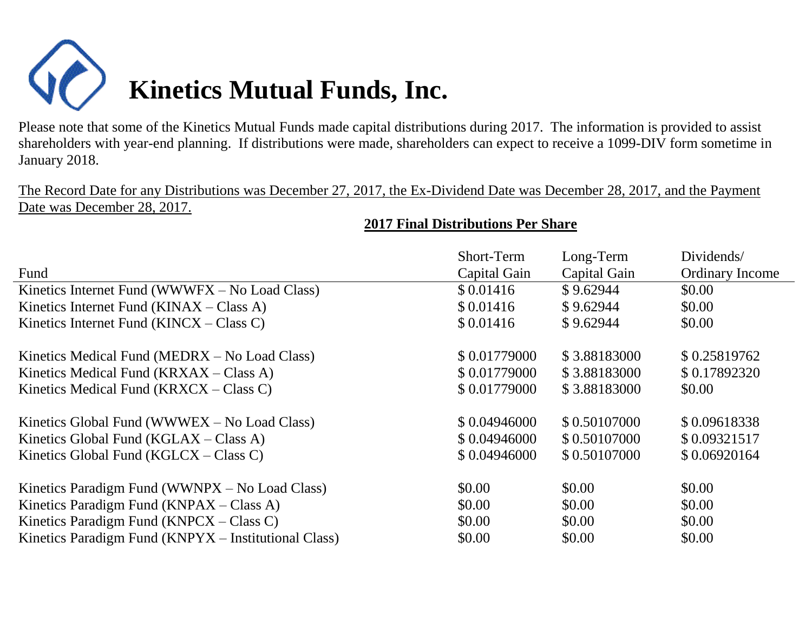

Please note that some of the Kinetics Mutual Funds made capital distributions during 2017. The information is provided to assist shareholders with year-end planning. If distributions were made, shareholders can expect to receive a 1099-DIV form sometime in January 2018.

The Record Date for any Distributions was December 27, 2017, the Ex-Dividend Date was December 28, 2017, and the Payment Date was December 28, 2017.

## **2017 Final Distributions Per Share**

|                                                      | Short-Term   | Long-Term    | Dividends/             |
|------------------------------------------------------|--------------|--------------|------------------------|
| Fund                                                 | Capital Gain | Capital Gain | <b>Ordinary Income</b> |
| Kinetics Internet Fund (WWWFX – No Load Class)       | \$0.01416    | \$9.62944    | \$0.00                 |
| Kinetics Internet Fund $(KINAX - Class A)$           | \$0.01416    | \$9.62944    | \$0.00                 |
| Kinetics Internet Fund $(KINCX - Class C)$           | \$0.01416    | \$9.62944    | \$0.00                 |
| Kinetics Medical Fund (MEDRX – No Load Class)        | \$0.01779000 | \$3.88183000 | \$0.25819762           |
| Kinetics Medical Fund $(KRXAX - Class A)$            | \$0.01779000 | \$3.88183000 | \$0.17892320           |
| Kinetics Medical Fund $(KRXCX - Class C)$            | \$0.01779000 | \$3.88183000 | \$0.00                 |
| Kinetics Global Fund (WWWEX – No Load Class)         | \$0.04946000 | \$0.50107000 | \$0.09618338           |
| Kinetics Global Fund ( $KGLAX - Class A$ )           | \$0.04946000 | \$0.50107000 | \$0.09321517           |
| Kinetics Global Fund ( $KGLCX - Class C$ )           | \$0.04946000 | \$0.50107000 | \$0.06920164           |
| Kinetics Paradigm Fund (WWNPX – No Load Class)       | \$0.00       | \$0.00       | \$0.00                 |
| Kinetics Paradigm Fund (KNPAX – Class A)             | \$0.00       | \$0.00       | \$0.00                 |
| Kinetics Paradigm Fund $(KNPCX - Class C)$           | \$0.00       | \$0.00       | \$0.00                 |
| Kinetics Paradigm Fund (KNPYX – Institutional Class) | \$0.00       | \$0.00       | \$0.00                 |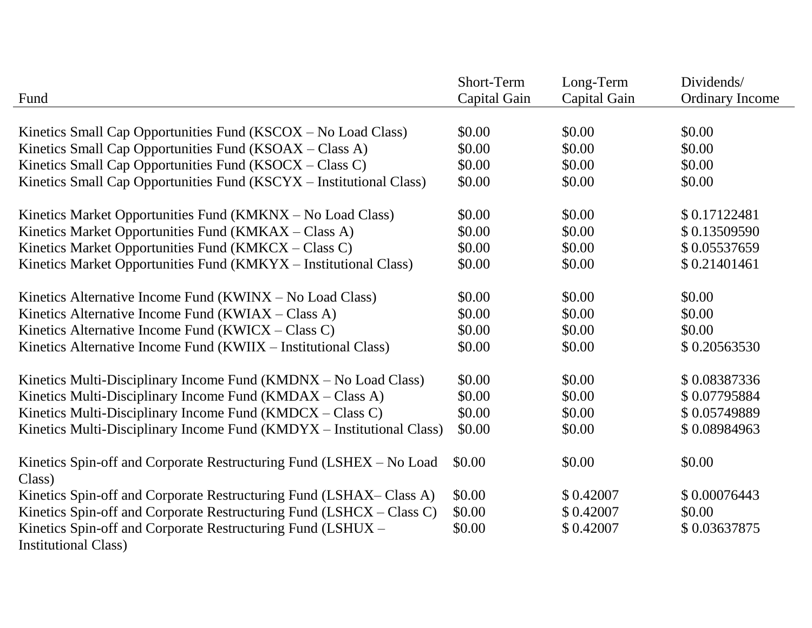| Fund                                                                                       | Short-Term<br>Capital Gain | Long-Term<br>Capital Gain | Dividends/<br><b>Ordinary Income</b> |
|--------------------------------------------------------------------------------------------|----------------------------|---------------------------|--------------------------------------|
| Kinetics Small Cap Opportunities Fund (KSCOX – No Load Class)                              | \$0.00                     | \$0.00                    | \$0.00                               |
| Kinetics Small Cap Opportunities Fund (KSOAX - Class A)                                    | \$0.00                     | \$0.00                    | \$0.00                               |
| Kinetics Small Cap Opportunities Fund (KSOCX – Class C)                                    | \$0.00                     | \$0.00                    | \$0.00                               |
| Kinetics Small Cap Opportunities Fund (KSCYX – Institutional Class)                        | \$0.00                     | \$0.00                    | \$0.00                               |
| Kinetics Market Opportunities Fund (KMKNX – No Load Class)                                 | \$0.00                     | \$0.00                    | \$0.17122481                         |
| Kinetics Market Opportunities Fund (KMKAX – Class A)                                       | \$0.00                     | \$0.00                    | \$0.13509590                         |
| Kinetics Market Opportunities Fund (KMKCX – Class C)                                       | \$0.00                     | \$0.00                    | \$0.05537659                         |
| Kinetics Market Opportunities Fund (KMKYX – Institutional Class)                           | \$0.00                     | \$0.00                    | \$0.21401461                         |
| Kinetics Alternative Income Fund (KWINX – No Load Class)                                   | \$0.00                     | \$0.00                    | \$0.00                               |
| Kinetics Alternative Income Fund (KWIAX – Class A)                                         | \$0.00                     | \$0.00                    | \$0.00                               |
| Kinetics Alternative Income Fund (KWICX - Class C)                                         | \$0.00                     | \$0.00                    | \$0.00                               |
| Kinetics Alternative Income Fund (KWIIX – Institutional Class)                             | \$0.00                     | \$0.00                    | \$0.20563530                         |
| Kinetics Multi-Disciplinary Income Fund (KMDNX – No Load Class)                            | \$0.00                     | \$0.00                    | \$0.08387336                         |
| Kinetics Multi-Disciplinary Income Fund (KMDAX – Class A)                                  | \$0.00                     | \$0.00                    | \$0.07795884                         |
| Kinetics Multi-Disciplinary Income Fund $(KMDCX - Class C)$                                | \$0.00                     | \$0.00                    | \$0.05749889                         |
| Kinetics Multi-Disciplinary Income Fund (KMDYX – Institutional Class)                      | \$0.00                     | \$0.00                    | \$0.08984963                         |
| Kinetics Spin-off and Corporate Restructuring Fund (LSHEX - No Load<br>Class)              | \$0.00                     | \$0.00                    | \$0.00                               |
| Kinetics Spin-off and Corporate Restructuring Fund (LSHAX–Class A)                         | \$0.00                     | \$0.42007                 | \$0.00076443                         |
| Kinetics Spin-off and Corporate Restructuring Fund (LSHCX - Class C)                       | \$0.00                     | \$0.42007                 | \$0.00                               |
| Kinetics Spin-off and Corporate Restructuring Fund (LSHUX -<br><b>Institutional Class)</b> | \$0.00                     | \$0.42007                 | \$0.03637875                         |